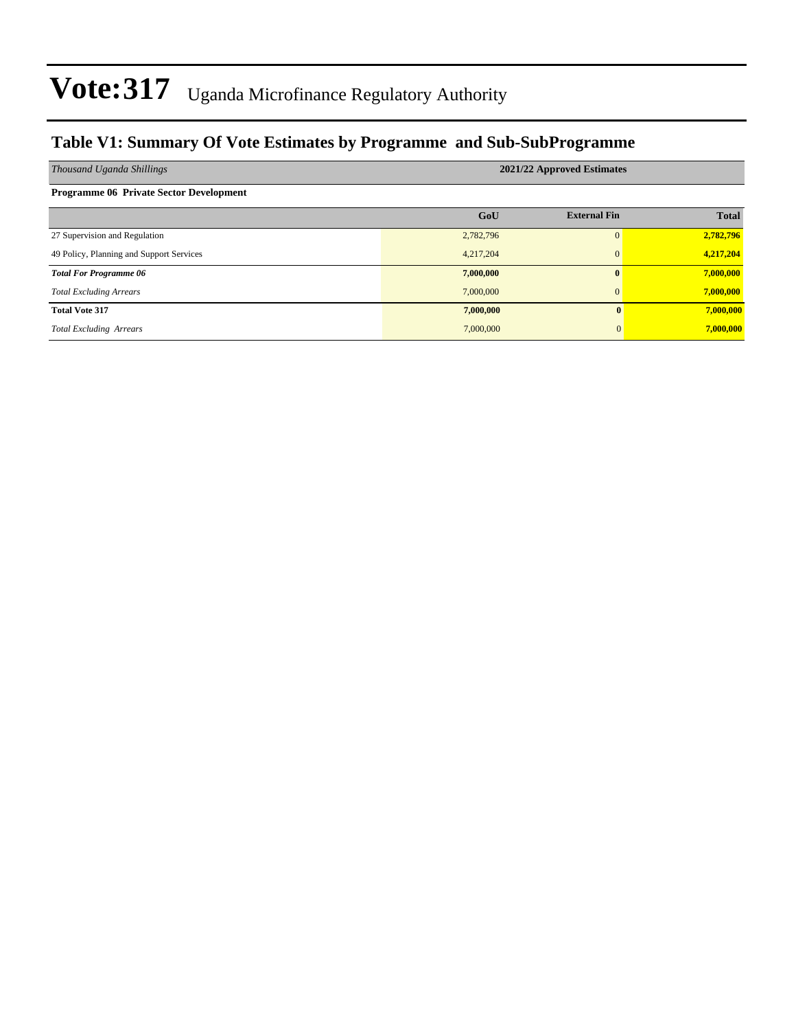### **Table V1: Summary Of Vote Estimates by Programme and Sub-SubProgramme**

| Thousand Uganda Shillings                      | 2021/22 Approved Estimates |                     |              |  |  |  |  |  |
|------------------------------------------------|----------------------------|---------------------|--------------|--|--|--|--|--|
| <b>Programme 06 Private Sector Development</b> |                            |                     |              |  |  |  |  |  |
|                                                | GoU                        | <b>External Fin</b> | <b>Total</b> |  |  |  |  |  |
| 27 Supervision and Regulation                  | 2,782,796                  | $\Omega$            | 2,782,796    |  |  |  |  |  |
| 49 Policy, Planning and Support Services       | 4,217,204                  | $\mathbf{0}$        | 4,217,204    |  |  |  |  |  |
| <b>Total For Programme 06</b>                  | 7,000,000                  | $\mathbf{0}$        | 7,000,000    |  |  |  |  |  |
| <b>Total Excluding Arrears</b>                 | 7,000,000                  | $\mathbf{0}$        | 7,000,000    |  |  |  |  |  |
| <b>Total Vote 317</b>                          | 7,000,000                  | $\mathbf{0}$        | 7,000,000    |  |  |  |  |  |
| <b>Total Excluding Arrears</b>                 | 7,000,000                  | $\Omega$            | 7,000,000    |  |  |  |  |  |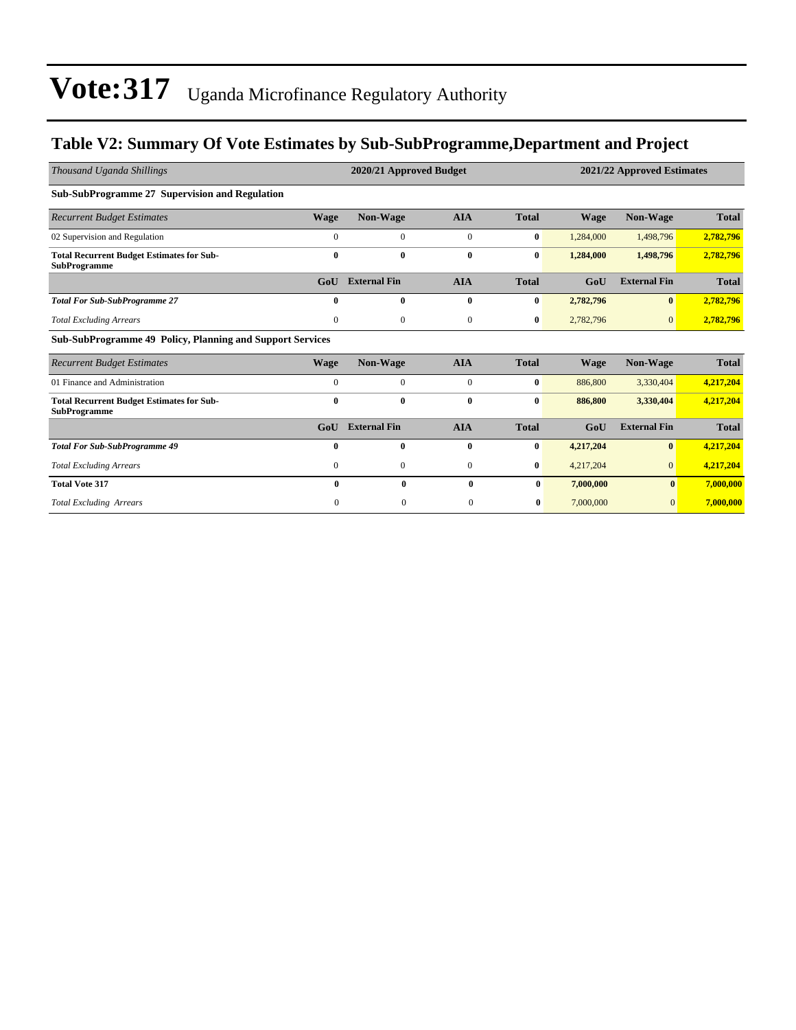### **Table V2: Summary Of Vote Estimates by Sub-SubProgramme,Department and Project**

| Thousand Uganda Shillings                                               |              | 2020/21 Approved Budget |                  |              | 2021/22 Approved Estimates |                     |              |  |
|-------------------------------------------------------------------------|--------------|-------------------------|------------------|--------------|----------------------------|---------------------|--------------|--|
| <b>Sub-SubProgramme 27 Supervision and Regulation</b>                   |              |                         |                  |              |                            |                     |              |  |
| <b>Recurrent Budget Estimates</b>                                       | <b>Wage</b>  | Non-Wage                | <b>AIA</b>       | <b>Total</b> | <b>Wage</b>                | Non-Wage            | <b>Total</b> |  |
| 02 Supervision and Regulation                                           | $\mathbf{0}$ | $\boldsymbol{0}$        | $\boldsymbol{0}$ | $\bf{0}$     | 1,284,000                  | 1,498,796           | 2,782,796    |  |
| <b>Total Recurrent Budget Estimates for Sub-</b><br><b>SubProgramme</b> | $\bf{0}$     | $\bf{0}$                | $\bf{0}$         | $\bf{0}$     | 1,284,000                  | 1,498,796           | 2,782,796    |  |
|                                                                         | GoU          | <b>External Fin</b>     | <b>AIA</b>       | <b>Total</b> | GoU                        | <b>External Fin</b> | <b>Total</b> |  |
| <b>Total For Sub-SubProgramme 27</b>                                    | $\bf{0}$     | $\bf{0}$                | $\bf{0}$         | $\bf{0}$     | 2,782,796                  | $\bf{0}$            | 2,782,796    |  |
| <b>Total Excluding Arrears</b>                                          | $\mathbf{0}$ | $\mathbf{0}$            | $\mathbf{0}$     | $\bf{0}$     | 2,782,796                  | $\Omega$            | 2,782,796    |  |
| <b>Sub-SubProgramme 49 Policy, Planning and Support Services</b>        |              |                         |                  |              |                            |                     |              |  |
| <b>Recurrent Budget Estimates</b>                                       | <b>Wage</b>  | Non-Wage                | <b>AIA</b>       | <b>Total</b> | <b>Wage</b>                | Non-Wage            | <b>Total</b> |  |
| 01 Finance and Administration                                           | $\mathbf{0}$ | $\boldsymbol{0}$        | $\boldsymbol{0}$ | $\bf{0}$     | 886,800                    | 3,330,404           | 4,217,204    |  |
| <b>Total Recurrent Budget Estimates for Sub-</b><br><b>SubProgramme</b> | $\bf{0}$     | $\bf{0}$                | $\bf{0}$         | $\bf{0}$     | 886,800                    | 3,330,404           | 4,217,204    |  |
|                                                                         | GoU          | <b>External Fin</b>     | <b>AIA</b>       | <b>Total</b> | GoU                        | <b>External Fin</b> | <b>Total</b> |  |
| <b>Total For Sub-SubProgramme 49</b>                                    | $\mathbf{0}$ | $\bf{0}$                | $\bf{0}$         | $\bf{0}$     | 4,217,204                  | $\bf{0}$            | 4,217,204    |  |
| <b>Total Excluding Arrears</b>                                          | $\mathbf{0}$ | $\mathbf{0}$            | $\boldsymbol{0}$ | $\bf{0}$     | 4,217,204                  | $\overline{0}$      | 4,217,204    |  |
| <b>Total Vote 317</b>                                                   | 0            | $\mathbf{0}$            | 0                | $\mathbf{0}$ | 7,000,000                  | $\bf{0}$            | 7,000,000    |  |
| <b>Total Excluding Arrears</b>                                          | $\Omega$     | $\mathbf{0}$            | $\mathbf{0}$     | $\bf{0}$     | 7,000,000                  | $\mathbf{0}$        | 7,000,000    |  |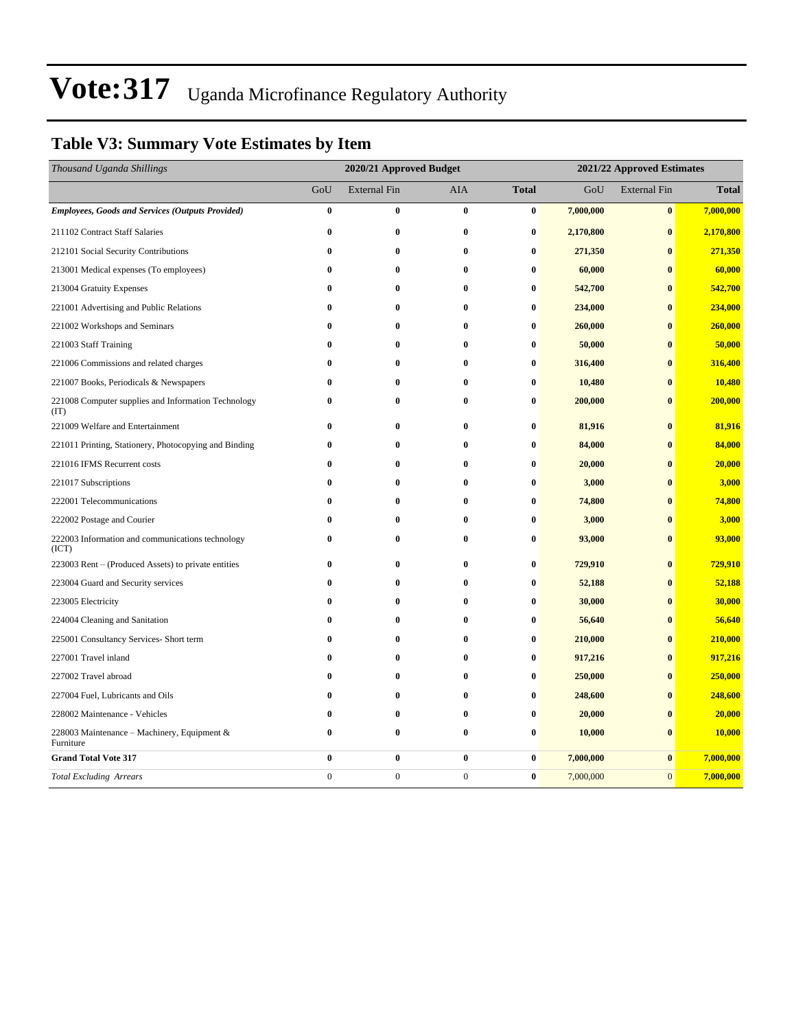### **Table V3: Summary Vote Estimates by Item**

| Thousand Uganda Shillings                                   | 2020/21 Approved Budget |                     |              |              | 2021/22 Approved Estimates |                     |              |  |
|-------------------------------------------------------------|-------------------------|---------------------|--------------|--------------|----------------------------|---------------------|--------------|--|
|                                                             | GoU                     | <b>External Fin</b> | <b>AIA</b>   | <b>Total</b> | GoU                        | <b>External Fin</b> | <b>Total</b> |  |
| <b>Employees, Goods and Services (Outputs Provided)</b>     | $\bf{0}$                | $\bf{0}$            | $\bf{0}$     | $\bf{0}$     | 7,000,000                  | $\bf{0}$            | 7,000,000    |  |
| 211102 Contract Staff Salaries                              | $\bf{0}$                | 0                   | $\bf{0}$     | $\bf{0}$     | 2,170,800                  | $\bf{0}$            | 2,170,800    |  |
| 212101 Social Security Contributions                        | $\bf{0}$                | 0                   | 0            | $\bf{0}$     | 271,350                    | $\bf{0}$            | 271,350      |  |
| 213001 Medical expenses (To employees)                      | $\bf{0}$                | 0                   | $\bf{0}$     | $\bf{0}$     | 60,000                     | $\bf{0}$            | 60,000       |  |
| 213004 Gratuity Expenses                                    | $\bf{0}$                | $\bf{0}$            | $\bf{0}$     | $\bf{0}$     | 542,700                    | $\bf{0}$            | 542,700      |  |
| 221001 Advertising and Public Relations                     | $\bf{0}$                | $\bf{0}$            | $\bf{0}$     | $\bf{0}$     | 234,000                    | $\bf{0}$            | 234,000      |  |
| 221002 Workshops and Seminars                               | $\bf{0}$                | $\bf{0}$            | $\bf{0}$     | $\bf{0}$     | 260,000                    | $\bf{0}$            | 260,000      |  |
| 221003 Staff Training                                       | $\bf{0}$                | $\bf{0}$            | $\bf{0}$     | $\bf{0}$     | 50,000                     | $\bf{0}$            | 50,000       |  |
| 221006 Commissions and related charges                      | $\bf{0}$                | $\bf{0}$            | $\bf{0}$     | $\bf{0}$     | 316,400                    | $\bf{0}$            | 316,400      |  |
| 221007 Books, Periodicals & Newspapers                      | $\bf{0}$                | $\bf{0}$            | $\bf{0}$     | $\bf{0}$     | 10,480                     | $\bf{0}$            | 10,480       |  |
| 221008 Computer supplies and Information Technology<br>(TT) | $\bf{0}$                | 0                   | $\bf{0}$     | $\bf{0}$     | 200,000                    | $\bf{0}$            | 200,000      |  |
| 221009 Welfare and Entertainment                            | $\bf{0}$                | $\bf{0}$            | $\bf{0}$     | $\bf{0}$     | 81,916                     | $\bf{0}$            | 81,916       |  |
| 221011 Printing, Stationery, Photocopying and Binding       | $\bf{0}$                | $\bf{0}$            | $\bf{0}$     | $\bf{0}$     | 84,000                     | $\bf{0}$            | 84,000       |  |
| 221016 IFMS Recurrent costs                                 | $\bf{0}$                | $\bf{0}$            | $\bf{0}$     | $\bf{0}$     | 20,000                     | $\bf{0}$            | 20,000       |  |
| 221017 Subscriptions                                        | 0                       | 0                   | $\bf{0}$     | $\bf{0}$     | 3,000                      | $\bf{0}$            | 3,000        |  |
| 222001 Telecommunications                                   | $\bf{0}$                | $\bf{0}$            | $\bf{0}$     | $\bf{0}$     | 74,800                     | $\bf{0}$            | 74,800       |  |
| 222002 Postage and Courier                                  | $\bf{0}$                | $\bf{0}$            | $\bf{0}$     | $\bf{0}$     | 3,000                      | $\bf{0}$            | 3,000        |  |
| 222003 Information and communications technology<br>(ICT)   | $\bf{0}$                | $\bf{0}$            | $\bf{0}$     | $\bf{0}$     | 93,000                     | $\bf{0}$            | 93,000       |  |
| 223003 Rent – (Produced Assets) to private entities         | 0                       | 0                   | $\bf{0}$     | $\bf{0}$     | 729,910                    | $\bf{0}$            | 729,910      |  |
| 223004 Guard and Security services                          | $\bf{0}$                | 0                   | $\bf{0}$     | $\bf{0}$     | 52,188                     | $\bf{0}$            | 52,188       |  |
| 223005 Electricity                                          | $\bf{0}$                | $\bf{0}$            | $\bf{0}$     | $\bf{0}$     | 30,000                     | $\bf{0}$            | 30,000       |  |
| 224004 Cleaning and Sanitation                              | $\bf{0}$                | $\bf{0}$            | $\bf{0}$     | $\bf{0}$     | 56,640                     | $\bf{0}$            | 56,640       |  |
| 225001 Consultancy Services- Short term                     | $\bf{0}$                | $\bf{0}$            | $\mathbf{0}$ | $\bf{0}$     | 210,000                    | $\bf{0}$            | 210,000      |  |
| 227001 Travel inland                                        | $\bf{0}$                | $\bf{0}$            | $\bf{0}$     | $\bf{0}$     | 917,216                    | $\bf{0}$            | 917,216      |  |
| 227002 Travel abroad                                        | $\bf{0}$                | $\bf{0}$            | $\bf{0}$     | $\bf{0}$     | 250,000                    | $\bf{0}$            | 250,000      |  |
| 227004 Fuel, Lubricants and Oils                            | $\bf{0}$                | $\bf{0}$            | $\bf{0}$     | $\bf{0}$     | 248,600                    | $\bf{0}$            | 248,600      |  |
| 228002 Maintenance - Vehicles                               | $\bf{0}$                | $\bf{0}$            | $\mathbf{0}$ | $\bf{0}$     | 20,000                     | $\bf{0}$            | 20,000       |  |
| 228003 Maintenance - Machinery, Equipment &<br>Furniture    | $\bf{0}$                | 0                   | $\bf{0}$     | $\bf{0}$     | 10,000                     | $\bf{0}$            | 10,000       |  |
| <b>Grand Total Vote 317</b>                                 | $\bf{0}$                | $\bf{0}$            | $\bf{0}$     | $\bf{0}$     | 7,000,000                  | $\bf{0}$            | 7,000,000    |  |
| <b>Total Excluding Arrears</b>                              | $\boldsymbol{0}$        | $\boldsymbol{0}$    | $\mathbf{0}$ | $\bf{0}$     | 7,000,000                  | $\boldsymbol{0}$    | 7,000,000    |  |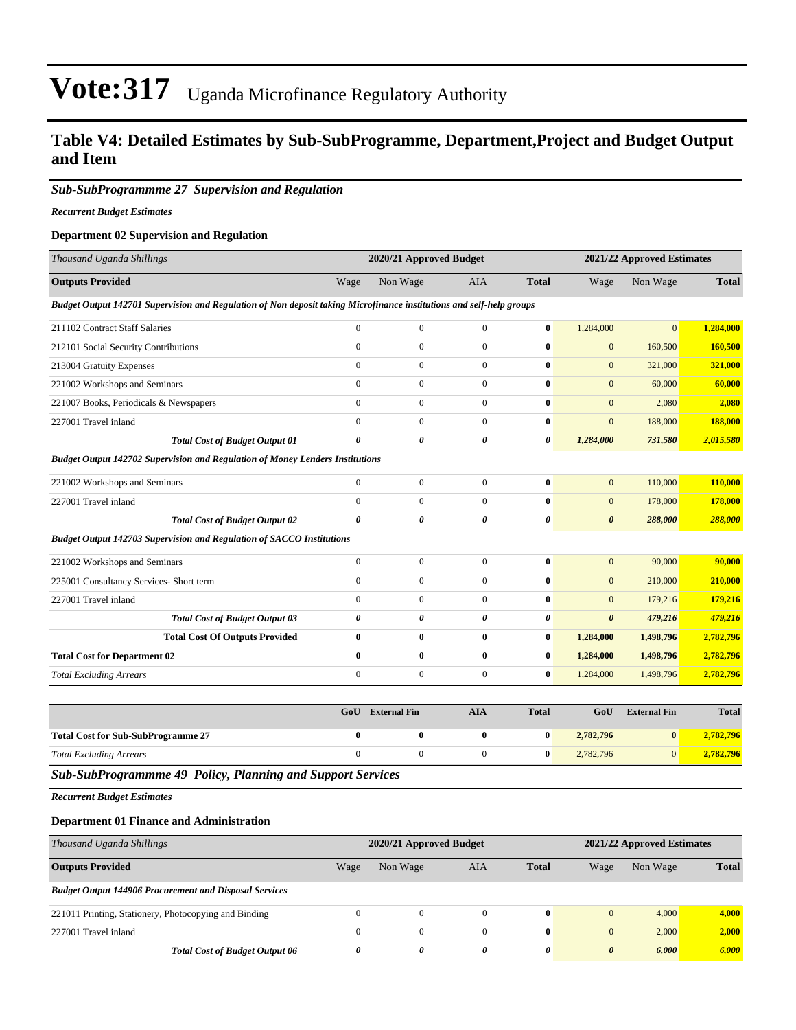#### **Table V4: Detailed Estimates by Sub-SubProgramme, Department,Project and Budget Output and Item**

#### *Sub-SubProgrammme 27 Supervision and Regulation*

*Recurrent Budget Estimates*

#### **Department 02 Supervision and Regulation**

| Thousand Uganda Shillings                                                                                            |                       | 2020/21 Approved Budget |                       |                       |                       | 2021/22 Approved Estimates |              |  |
|----------------------------------------------------------------------------------------------------------------------|-----------------------|-------------------------|-----------------------|-----------------------|-----------------------|----------------------------|--------------|--|
| <b>Outputs Provided</b>                                                                                              | Wage                  | Non Wage                | <b>AIA</b>            | <b>Total</b>          | Wage                  | Non Wage                   | <b>Total</b> |  |
| Budget Output 142701 Supervision and Regulation of Non deposit taking Microfinance institutions and self-help groups |                       |                         |                       |                       |                       |                            |              |  |
| 211102 Contract Staff Salaries                                                                                       | $\boldsymbol{0}$      | $\boldsymbol{0}$        | $\mathbf{0}$          | $\bf{0}$              | 1,284,000             | $\mathbf{0}$               | 1,284,000    |  |
| 212101 Social Security Contributions                                                                                 | $\mathbf{0}$          | $\mathbf{0}$            | $\mathbf{0}$          | $\bf{0}$              | $\mathbf{0}$          | 160,500                    | 160,500      |  |
| 213004 Gratuity Expenses                                                                                             | $\overline{0}$        | $\mathbf{0}$            | $\boldsymbol{0}$      | $\bf{0}$              | $\mathbf{0}$          | 321,000                    | 321,000      |  |
| 221002 Workshops and Seminars                                                                                        | $\overline{0}$        | $\mathbf{0}$            | $\overline{0}$        | $\bf{0}$              | $\mathbf{0}$          | 60,000                     | 60,000       |  |
| 221007 Books, Periodicals & Newspapers                                                                               | $\mathbf{0}$          | $\boldsymbol{0}$        | $\boldsymbol{0}$      | $\bf{0}$              | $\mathbf{0}$          | 2,080                      | 2,080        |  |
| 227001 Travel inland                                                                                                 | $\boldsymbol{0}$      | $\boldsymbol{0}$        | $\boldsymbol{0}$      | $\bf{0}$              | $\boldsymbol{0}$      | 188,000                    | 188,000      |  |
| <b>Total Cost of Budget Output 01</b>                                                                                | 0                     | $\boldsymbol{\theta}$   | $\boldsymbol{\theta}$ | $\boldsymbol{\theta}$ | 1,284,000             | 731,580                    | 2,015,580    |  |
| Budget Output 142702 Supervision and Regulation of Money Lenders Institutions                                        |                       |                         |                       |                       |                       |                            |              |  |
| 221002 Workshops and Seminars                                                                                        | $\mathbf{0}$          | $\mathbf{0}$            | $\overline{0}$        | $\bf{0}$              | $\overline{0}$        | 110,000                    | 110,000      |  |
| 227001 Travel inland                                                                                                 | $\overline{0}$        | $\overline{0}$          | $\mathbf{0}$          | $\bf{0}$              | $\mathbf{0}$          | 178,000                    | 178,000      |  |
| <b>Total Cost of Budget Output 02</b>                                                                                | $\boldsymbol{\theta}$ | $\boldsymbol{\theta}$   | $\boldsymbol{\theta}$ | $\pmb{\theta}$        | $\boldsymbol{\theta}$ | 288,000                    | 288,000      |  |
| Budget Output 142703 Supervision and Regulation of SACCO Institutions                                                |                       |                         |                       |                       |                       |                            |              |  |
| 221002 Workshops and Seminars                                                                                        | $\boldsymbol{0}$      | $\boldsymbol{0}$        | $\boldsymbol{0}$      | $\bf{0}$              | $\mathbf{0}$          | 90,000                     | 90,000       |  |
| 225001 Consultancy Services- Short term                                                                              | $\boldsymbol{0}$      | $\boldsymbol{0}$        | $\boldsymbol{0}$      | $\bf{0}$              | $\mathbf{0}$          | 210,000                    | 210,000      |  |
| 227001 Travel inland                                                                                                 | $\overline{0}$        | $\mathbf{0}$            | $\boldsymbol{0}$      | $\bf{0}$              | $\mathbf{0}$          | 179,216                    | 179,216      |  |
| <b>Total Cost of Budget Output 03</b>                                                                                | 0                     | 0                       | $\boldsymbol{\theta}$ | $\pmb{\theta}$        | $\boldsymbol{\theta}$ | 479,216                    | 479,216      |  |
| <b>Total Cost Of Outputs Provided</b>                                                                                | $\bf{0}$              | $\bf{0}$                | $\bf{0}$              | $\bf{0}$              | 1,284,000             | 1,498,796                  | 2,782,796    |  |
| <b>Total Cost for Department 02</b>                                                                                  | $\bf{0}$              | $\bf{0}$                | $\bf{0}$              | $\bf{0}$              | 1,284,000             | 1,498,796                  | 2,782,796    |  |
| <b>Total Excluding Arrears</b>                                                                                       | $\boldsymbol{0}$      | $\boldsymbol{0}$        | $\boldsymbol{0}$      | $\bf{0}$              | 1,284,000             | 1,498,796                  | 2,782,796    |  |
|                                                                                                                      |                       |                         |                       |                       |                       |                            |              |  |
|                                                                                                                      | GoU                   | <b>External Fin</b>     | <b>AIA</b>            | <b>Total</b>          | GoU                   | <b>External Fin</b>        | <b>Total</b> |  |
| <b>Total Cost for Sub-SubProgramme 27</b>                                                                            | $\bf{0}$              | 0                       | $\bf{0}$              | $\bf{0}$              | 2,782,796             | $\bf{0}$                   | 2,782,796    |  |
| <b>Total Excluding Arrears</b>                                                                                       | $\mathbf{0}$          | $\overline{0}$          | $\mathbf{0}$          | $\bf{0}$              | 2,782,796             | $\overline{0}$             | 2,782,796    |  |

*Sub-SubProgrammme 49 Policy, Planning and Support Services*

*Recurrent Budget Estimates*

#### **Department 01 Finance and Administration**

| Thousand Uganda Shillings                                     | 2020/21 Approved Budget |          |          |              |                       | 2021/22 Approved Estimates |              |  |
|---------------------------------------------------------------|-------------------------|----------|----------|--------------|-----------------------|----------------------------|--------------|--|
| <b>Outputs Provided</b>                                       | Wage                    | Non Wage | AIA      | <b>Total</b> | Wage                  | Non Wage                   | <b>Total</b> |  |
| <b>Budget Output 144906 Procurement and Disposal Services</b> |                         |          |          |              |                       |                            |              |  |
| 221011 Printing, Stationery, Photocopying and Binding         | $\Omega$                | $\Omega$ | $\Omega$ | $\mathbf{0}$ | $\mathbf{0}$          | 4,000                      | 4,000        |  |
| 227001 Travel inland                                          | $\theta$                | $\Omega$ | $\Omega$ | $\mathbf{0}$ | $\mathbf{0}$          | 2,000                      | 2,000        |  |
| <b>Total Cost of Budget Output 06</b>                         | 0                       | 0        | 0        | 0            | $\boldsymbol{\theta}$ | 6,000                      | 6,000        |  |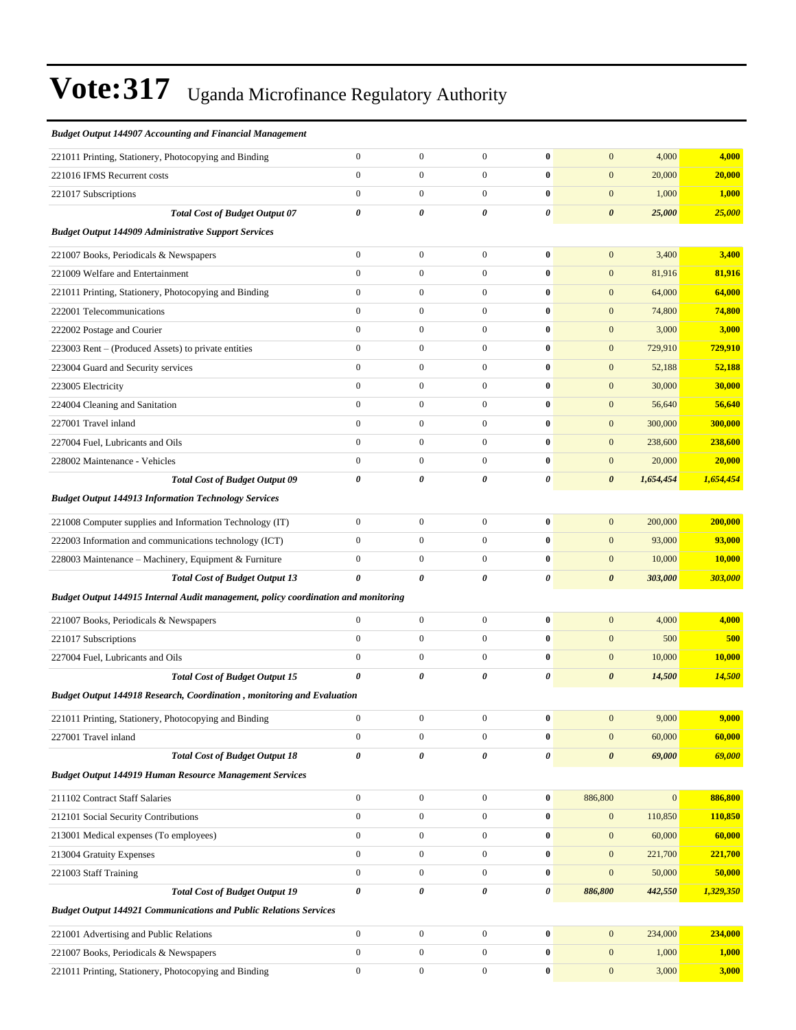| <b>Budget Output 144907 Accounting and Financial Management</b>                    |                       |                       |                  |                |                       |              |           |
|------------------------------------------------------------------------------------|-----------------------|-----------------------|------------------|----------------|-----------------------|--------------|-----------|
| 221011 Printing, Stationery, Photocopying and Binding                              | $\boldsymbol{0}$      | $\boldsymbol{0}$      | $\boldsymbol{0}$ | $\bf{0}$       | $\mathbf{0}$          | 4,000        | 4,000     |
| 221016 IFMS Recurrent costs                                                        | $\boldsymbol{0}$      | $\boldsymbol{0}$      | $\boldsymbol{0}$ | $\bf{0}$       | $\mathbf{0}$          | 20,000       | 20,000    |
| 221017 Subscriptions                                                               | $\mathbf{0}$          | $\mathbf{0}$          | $\overline{0}$   | $\bf{0}$       | $\mathbf{0}$          | 1,000        | 1,000     |
| <b>Total Cost of Budget Output 07</b>                                              | $\pmb{\theta}$        | 0                     | $\theta$         | 0              | $\boldsymbol{\theta}$ | 25,000       | 25,000    |
| <b>Budget Output 144909 Administrative Support Services</b>                        |                       |                       |                  |                |                       |              |           |
| 221007 Books, Periodicals & Newspapers                                             | $\boldsymbol{0}$      | $\boldsymbol{0}$      | $\boldsymbol{0}$ | $\bf{0}$       | $\mathbf{0}$          | 3,400        | 3,400     |
| 221009 Welfare and Entertainment                                                   | $\boldsymbol{0}$      | $\boldsymbol{0}$      | $\boldsymbol{0}$ | $\bf{0}$       | $\boldsymbol{0}$      | 81,916       | 81,916    |
| 221011 Printing, Stationery, Photocopying and Binding                              | $\boldsymbol{0}$      | $\boldsymbol{0}$      | $\boldsymbol{0}$ | $\bf{0}$       | $\mathbf{0}$          | 64,000       | 64,000    |
| 222001 Telecommunications                                                          | $\boldsymbol{0}$      | $\boldsymbol{0}$      | $\overline{0}$   | $\bf{0}$       | $\mathbf{0}$          | 74,800       | 74,800    |
| 222002 Postage and Courier                                                         | $\mathbf{0}$          | $\boldsymbol{0}$      | $\boldsymbol{0}$ | $\bf{0}$       | $\mathbf{0}$          | 3,000        | 3,000     |
| 223003 Rent – (Produced Assets) to private entities                                | $\boldsymbol{0}$      | $\boldsymbol{0}$      | $\boldsymbol{0}$ | $\bf{0}$       | $\mathbf{0}$          | 729,910      | 729,910   |
| 223004 Guard and Security services                                                 | $\boldsymbol{0}$      | $\boldsymbol{0}$      | $\boldsymbol{0}$ | $\bf{0}$       | $\boldsymbol{0}$      | 52,188       | 52,188    |
| 223005 Electricity                                                                 | $\boldsymbol{0}$      | $\boldsymbol{0}$      | $\boldsymbol{0}$ | $\bf{0}$       | $\mathbf{0}$          | 30,000       | 30,000    |
| 224004 Cleaning and Sanitation                                                     | $\boldsymbol{0}$      | $\boldsymbol{0}$      | $\overline{0}$   | $\bf{0}$       | $\mathbf{0}$          | 56,640       | 56,640    |
| 227001 Travel inland                                                               | $\mathbf{0}$          | $\boldsymbol{0}$      | $\boldsymbol{0}$ | $\bf{0}$       | $\mathbf{0}$          | 300,000      | 300,000   |
| 227004 Fuel, Lubricants and Oils                                                   | $\boldsymbol{0}$      | $\boldsymbol{0}$      | $\boldsymbol{0}$ | $\bf{0}$       | $\mathbf{0}$          | 238,600      | 238,600   |
| 228002 Maintenance - Vehicles                                                      | $\boldsymbol{0}$      | $\boldsymbol{0}$      | $\overline{0}$   | $\bf{0}$       | $\boldsymbol{0}$      | 20,000       | 20,000    |
| <b>Total Cost of Budget Output 09</b>                                              | 0                     | 0                     | 0                | $\pmb{\theta}$ | $\boldsymbol{\theta}$ | 1,654,454    | 1,654,454 |
| <b>Budget Output 144913 Information Technology Services</b>                        |                       |                       |                  |                |                       |              |           |
| 221008 Computer supplies and Information Technology (IT)                           | $\boldsymbol{0}$      | $\boldsymbol{0}$      | $\overline{0}$   | $\bf{0}$       | $\mathbf{0}$          | 200,000      | 200,000   |
| 222003 Information and communications technology (ICT)                             | $\mathbf{0}$          | $\boldsymbol{0}$      | $\mathbf{0}$     | $\bf{0}$       | $\mathbf{0}$          | 93,000       | 93,000    |
| 228003 Maintenance - Machinery, Equipment & Furniture                              | $\boldsymbol{0}$      | $\boldsymbol{0}$      | $\boldsymbol{0}$ | $\bf{0}$       | $\mathbf{0}$          | 10,000       | 10,000    |
| <b>Total Cost of Budget Output 13</b>                                              | $\boldsymbol{\theta}$ | $\boldsymbol{\theta}$ | $\theta$         | 0              | $\boldsymbol{\theta}$ | 303,000      | 303,000   |
| Budget Output 144915 Internal Audit management, policy coordination and monitoring |                       |                       |                  |                |                       |              |           |
| 221007 Books, Periodicals & Newspapers                                             | $\boldsymbol{0}$      | $\boldsymbol{0}$      | $\boldsymbol{0}$ | $\bf{0}$       | $\mathbf{0}$          | 4,000        | 4,000     |
| 221017 Subscriptions                                                               | $\boldsymbol{0}$      | $\boldsymbol{0}$      | $\overline{0}$   | $\bf{0}$       | $\mathbf{0}$          | 500          | 500       |
| 227004 Fuel, Lubricants and Oils                                                   | $\mathbf{0}$          | $\boldsymbol{0}$      | $\boldsymbol{0}$ | $\bf{0}$       | $\mathbf{0}$          | 10,000       | 10,000    |
| <b>Total Cost of Budget Output 15</b>                                              | 0                     | 0                     | 0                | 0              | $\boldsymbol{\theta}$ | 14,500       | 14,500    |
| Budget Output 144918 Research, Coordination, monitoring and Evaluation             |                       |                       |                  |                |                       |              |           |
| 221011 Printing, Stationery, Photocopying and Binding                              | $\boldsymbol{0}$      | $\boldsymbol{0}$      | $\boldsymbol{0}$ | $\bf{0}$       | $\boldsymbol{0}$      | 9,000        | 9,000     |
| 227001 Travel inland                                                               | $\boldsymbol{0}$      | $\boldsymbol{0}$      | $\overline{0}$   | $\bf{0}$       | $\boldsymbol{0}$      | 60,000       | 60,000    |
| <b>Total Cost of Budget Output 18</b>                                              | 0                     | $\boldsymbol{\theta}$ | 0                | $\pmb{\theta}$ | $\pmb{\theta}$        | 69,000       | 69,000    |
| <b>Budget Output 144919 Human Resource Management Services</b>                     |                       |                       |                  |                |                       |              |           |
| 211102 Contract Staff Salaries                                                     | $\boldsymbol{0}$      | $\boldsymbol{0}$      | $\overline{0}$   | $\pmb{0}$      | 886,800               | $\mathbf{0}$ | 886,800   |
| 212101 Social Security Contributions                                               | $\boldsymbol{0}$      | $\boldsymbol{0}$      | $\boldsymbol{0}$ | $\bf{0}$       | $\mathbf{0}$          | 110,850      | 110,850   |
| 213001 Medical expenses (To employees)                                             | $\boldsymbol{0}$      | $\boldsymbol{0}$      | $\boldsymbol{0}$ | $\bf{0}$       | $\boldsymbol{0}$      | 60,000       | 60,000    |
| 213004 Gratuity Expenses                                                           | $\boldsymbol{0}$      | $\boldsymbol{0}$      | $\boldsymbol{0}$ | $\pmb{0}$      | $\boldsymbol{0}$      | 221,700      | 221,700   |
| 221003 Staff Training                                                              | $\boldsymbol{0}$      | $\boldsymbol{0}$      | $\mathbf{0}$     | $\bf{0}$       | $\boldsymbol{0}$      | 50,000       | 50,000    |
| <b>Total Cost of Budget Output 19</b>                                              | $\pmb{\theta}$        | $\boldsymbol{\theta}$ | 0                | 0              | 886,800               | 442,550      | 1,329,350 |
| <b>Budget Output 144921 Communications and Public Relations Services</b>           |                       |                       |                  |                |                       |              |           |
| 221001 Advertising and Public Relations                                            | $\boldsymbol{0}$      | $\boldsymbol{0}$      | $\mathbf{0}$     | $\bf{0}$       | $\mathbf{0}$          | 234,000      | 234,000   |
| 221007 Books, Periodicals & Newspapers                                             | $\boldsymbol{0}$      | $\boldsymbol{0}$      | $\overline{0}$   | $\bf{0}$       | $\boldsymbol{0}$      | 1,000        | 1,000     |
| 221011 Printing, Stationery, Photocopying and Binding                              | $\boldsymbol{0}$      | $\boldsymbol{0}$      | $\boldsymbol{0}$ | $\pmb{0}$      | $\mathbf{0}$          | 3,000        | 3,000     |